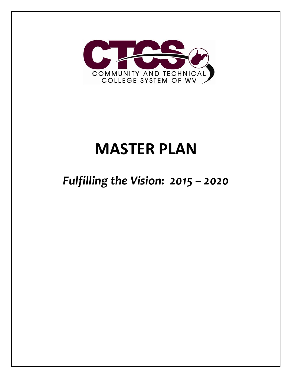

# **MASTER PLAN**

## *Fulfilling the Vision: 2015 – 2020*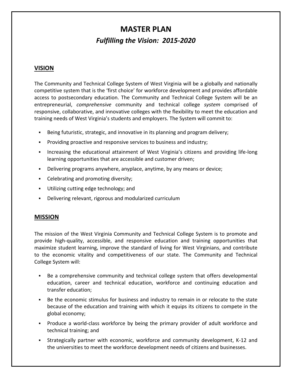## **MASTER PLAN** *Fulfilling the Vision: 2015‐2020*

#### **VISION**

The Community and Technical College System of West Virginia will be a globally and nationally competitive system that is the 'first choice' for workforce development and provides affordable access to postsecondary education. The Community and Technical College System will be an entrepreneurial, *comprehensive* community and technical college *system* comprised of responsive, collaborative, and innovative colleges with the flexibility to meet the education and training needs of West Virginia's students and employers. The System will commit to:

- Being futuristic, strategic, and innovative in its planning and program delivery;
- Providing proactive and responsive services to business and industry;
- Increasing the educational attainment of West Virginia's citizens and providing life‐long learning opportunities that are accessible and customer driven;
- Delivering programs anywhere, anyplace, anytime, by any means or device;
- Celebrating and promoting diversity;
- Utilizing cutting edge technology; and
- Delivering relevant, rigorous and modularized curriculum

#### **MISSION**

The mission of the West Virginia Community and Technical College System is to promote and provide high‐quality, accessible, and responsive education and training opportunities that maximize student learning, improve the standard of living for West Virginians, and contribute to the economic vitality and competitiveness of our state. The Community and Technical College System will:

- Be a comprehensive community and technical college system that offers developmental education, career and technical education, workforce and continuing education and transfer education;
- Be the economic stimulus for business and industry to remain in or relocate to the state because of the education and training with which it equips its citizens to compete in the global economy;
- Produce a world‐class workforce by being the primary provider of adult workforce and technical training; and
- Strategically partner with economic, workforce and community development, K‐12 and the universities to meet the workforce development needs of citizens and businesses.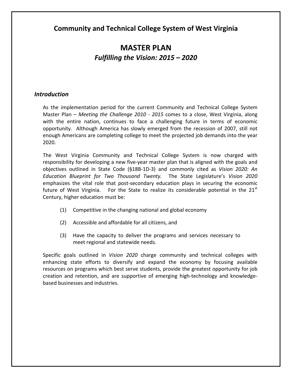**Community and Technical College System of West Virginia**

## **MASTER PLAN** *Fulfilling the Vision: 2015 – 2020*

#### *Introduction*

As the implementation period for the current Community and Technical College System Master Plan – *Meeting the Challenge 2010 ‐ 2015* comes to a close, West Virginia, along with the entire nation, continues to face a challenging future in terms of economic opportunity. Although America has slowly emerged from the recession of 2007, still not enough Americans are completing college to meet the projected job demands into the year 2020.

The West Virginia Community and Technical College System is now charged with responsibility for developing a new five-year master plan that is aligned with the goals and objectives outlined in State Code (§18B‐1D‐3) and commonly cited as *Vision 2020: An Education Blueprint for Two Thousand Twenty.*  The State Legislature's *Vision 2020* emphasizes the vital role that post‐secondary education plays in securing the economic future of West Virginia. For the State to realize its considerable potential in the 21 $^{\rm st}$ Century, higher education must be:

- (1) Competitive in the changing national and global economy
- (2) Accessible and affordable for all citizens, and
- (3) Have the capacity to deliver the programs and services necessary to meet regional and statewide needs.

Specific goals outlined in *Vision 2020* charge community and technical colleges with enhancing state efforts to diversify and expand the economy by focusing available resources on programs which best serve students, provide the greatest opportunity for job creation and retention, and are supportive of emerging high‐technology and knowledge‐ based businesses and industries.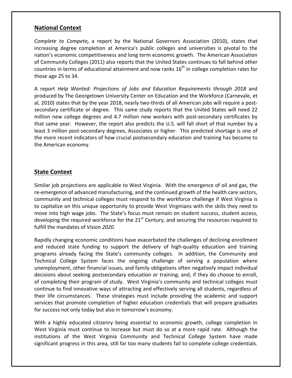#### **National Context**

*Complete to Compete,* a report by the National Governors Association (2010), states that increasing degree completion at America's public colleges and universities is pivotal to the nation's economic competitiveness and long term economic growth. The American Association of Community Colleges (2011) also reports that the United States continues to fall behind other countries in terms of educational attainment and now ranks  $16<sup>th</sup>$  in college completion rates for those age 25 to 34.

A report *Help Wanted: Projections of Jobs and Education Requirements through 2018* and produced by The Georgetown University Center on Education and the Workforce (Carnevale, et al, 2010) states that by the year 2018, nearly two-thirds of all American jobs will require a postsecondary certificate or degree. This same study reports that the United States will need 22 million new college degrees and 4.7 million new workers with post‐secondary certificates by that same year. However, the report also predicts the U.S. will fall short of that number by a least 3 million post-secondary degrees, Associates or higher. This predicted shortage is one of the more recent indicators of how crucial postsecondary education and training has become to the American economy.

#### **State Context**

Similar job projections are applicable to West Virginia. With the emergence of oil and gas, the re-emergence of advanced manufacturing, and the continued growth of the health care sectors, community and technical colleges must respond to the workforce challenge if West Virginia is to capitalize on this unique opportunity to provide West Virginians with the skills they need to move into high wage jobs. The State's focus must remain on student success, student access, developing the required workforce for the  $21<sup>st</sup>$  Century, and securing the resources required to fulfill the mandates of *Vision 2020.*

Rapidly changing economic conditions have exacerbated the challenges of declining enrollment and reduced state funding to support the delivery of high-quality education and training programs already facing the State's community colleges. In addition, the Community and Technical College System faces the ongoing challenge of serving a population where unemployment, other financial issues, and family obligations often negatively impact individual decisions about seeking postsecondary education or training; and, if they do choose to enroll, of completing their program of study. West Virginia's community and technical colleges must continue to find innovative ways of attracting and effectively serving all students, regardless of their life circumstances. These strategies must include providing the academic and support services that promote completion of higher education credentials that will prepare graduates for success not only today but also in tomorrow's economy.

With a highly educated citizenry being essential to economic growth, college completion in West Virginia must continue to increase but must do so at a more rapid rate. Although the institutions of the West Virginia Community and Technical College System have made significant progress in this area, still far too many students fail to complete college credentials.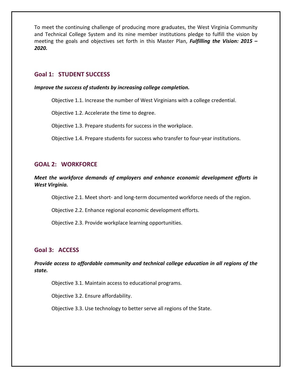To meet the continuing challenge of producing more graduates, the West Virginia Community and Technical College System and its nine member institutions pledge to fulfill the vision by meeting the goals and objectives set forth in this Master Plan, *Fulfilling the Vision: 2015 – 2020.*

#### **Goal 1: STUDENT SUCCESS**

#### *Improve the success of students by increasing college completion.*

Objective 1.1. Increase the number of West Virginians with a college credential.

Objective 1.2. Accelerate the time to degree.

Objective 1.3. Prepare students for success in the workplace.

Objective 1.4. Prepare students for success who transfer to four‐year institutions.

#### **GOAL 2: WORKFORCE**

#### *Meet the workforce demands of employers and enhance economic development efforts in West Virginia.*

Objective 2.1. Meet short‐ and long‐term documented workforce needs of the region.

Objective 2.2. Enhance regional economic development efforts.

Objective 2.3. Provide workplace learning opportunities.

#### **Goal 3: ACCESS**

*Provide access to affordable community and technical college education in all regions of the state.*

Objective 3.1. Maintain access to educational programs.

Objective 3.2. Ensure affordability.

Objective 3.3. Use technology to better serve all regions of the State.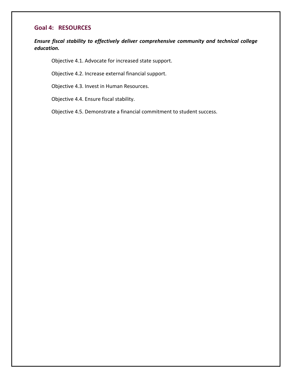#### **Goal 4: RESOURCES**

*Ensure fiscal stability to effectively deliver comprehensive community and technical college education.*

Objective 4.1. Advocate for increased state support.

Objective 4.2. Increase external financial support.

Objective 4.3. Invest in Human Resources.

Objective 4.4. Ensure fiscal stability.

Objective 4.5. Demonstrate a financial commitment to student success.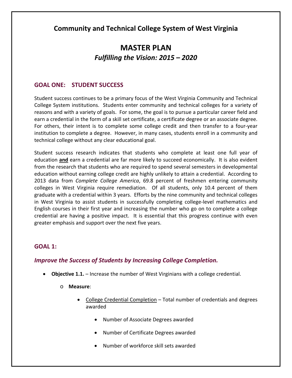#### **Community and Technical College System of West Virginia**

### **MASTER PLAN** *Fulfilling the Vision: 2015 – 2020*

#### **GOAL ONE: STUDENT SUCCESS**

Student success continues to be a primary focus of the West Virginia Community and Technical College System institutions. Students enter community and technical colleges for a variety of reasons and with a variety of goals. For some, the goal is to pursue a particular career field and earn a credential in the form of a skill set certificate, a certificate degree or an associate degree. For others, their intent is to complete some college credit and then transfer to a four‐year institution to complete a degree. However, in many cases, students enroll in a community and technical college without any clear educational goal.

Student success research indicates that students who complete at least one full year of education **and** earn a credential are far more likely to succeed economically. It is also evident from the research that students who are required to spend several semesters in developmental education without earning college credit are highly unlikely to attain a credential. According to 2013 data from *Complete College America*, 69.8 percent of freshmen entering community colleges in West Virginia require remediation. Of all students, only 10.4 percent of them graduate with a credential within 3 years. Efforts by the nine community and technical colleges in West Virginia to assist students in successfully completing college‐level mathematics and English courses in their first year and increasing the number who go on to complete a college credential are having a positive impact. It is essential that this progress continue with even greater emphasis and support over the next five years.

#### **GOAL 1:**

#### *Improve the Success of Students by Increasing College Completion.*

- **Objective 1.1.** Increase the number of West Virginians with a college credential.
	- o **Measure**:
		- College Credential Completion Total number of credentials and degrees awarded
			- Number of Associate Degrees awarded
			- Number of Certificate Degrees awarded
			- Number of workforce skill sets awarded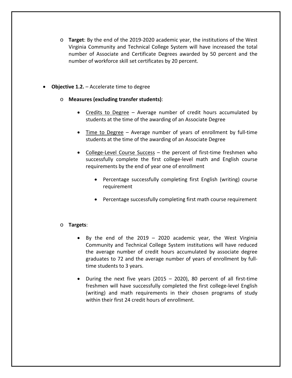- o **Target**: By the end of the 2019‐2020 academic year, the institutions of the West Virginia Community and Technical College System will have increased the total number of Associate and Certificate Degrees awarded by 50 percent and the number of workforce skill set certificates by 20 percent.
- **Objective 1.2.** Accelerate time to degree

#### o **Measures (excluding transfer students)**:

- Credits to Degree Average number of credit hours accumulated by students at the time of the awarding of an Associate Degree
- Time to Degree Average number of years of enrollment by full-time students at the time of the awarding of an Associate Degree
- College-Level Course Success the percent of first-time freshmen who successfully complete the first college‐level math and English course requirements by the end of year one of enrollment
	- Percentage successfully completing first English (writing) course requirement
	- Percentage successfully completing first math course requirement
- o **Targets**:
	- By the end of the 2019 2020 academic year, the West Virginia Community and Technical College System institutions will have reduced the average number of credit hours accumulated by associate degree graduates to 72 and the average number of years of enrollment by full‐ time students to 3 years.
	- During the next five years (2015 2020), 80 percent of all first-time freshmen will have successfully completed the first college‐level English (writing) and math requirements in their chosen programs of study within their first 24 credit hours of enrollment.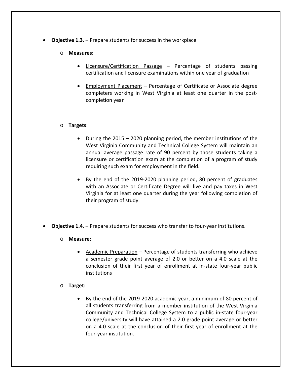- **Objective 1.3.** Prepare students for success in the workplace
	- o **Measures**:
		- Licensure/Certification Passage Percentage of students passing certification and licensure examinations within one year of graduation
		- Employment Placement Percentage of Certificate or Associate degree completers working in West Virginia at least one quarter in the post‐ completion year

#### o **Targets**:

- $\bullet$  During the 2015 2020 planning period, the member institutions of the West Virginia Community and Technical College System will maintain an annual average passage rate of 90 percent by those students taking a licensure or certification exam at the completion of a program of study requiring such exam for employment in the field.
- By the end of the 2019‐2020 planning period, 80 percent of graduates with an Associate or Certificate Degree will live and pay taxes in West Virginia for at least one quarter during the year following completion of their program of study.
- **Objective 1.4.** Prepare students for success who transfer to four‐year institutions.
	- o **Measure**:
		- Academic Preparation Percentage of students transferring who achieve a semester grade point average of 2.0 or better on a 4.0 scale at the conclusion of their first year of enrollment at in‐state four‐year public institutions

#### o **Target**:

 By the end of the 2019‐2020 academic year, a minimum of 80 percent of all students transferring from a member institution of the West Virginia Community and Technical College System to a public in‐state four‐year college/university will have attained a 2.0 grade point average or better on a 4.0 scale at the conclusion of their first year of enrollment at the four‐year institution.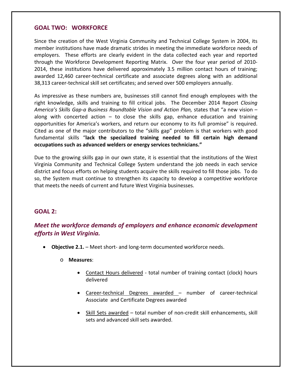#### **GOAL TWO: WORKFORCE**

Since the creation of the West Virginia Community and Technical College System in 2004, its member institutions have made dramatic strides in meeting the immediate workforce needs of employers. These efforts are clearly evident in the data collected each year and reported through the Workforce Development Reporting Matrix. Over the four year period of 2010‐ 2014, these institutions have delivered approximately 3.5 million contact hours of training; awarded 12,460 career‐technical certificate and associate degrees along with an additional 38,313 career‐technical skill set certificates; and served over 500 employers annually.

As impressive as these numbers are, businesses still cannot find enough employees with the right knowledge, skills and training to fill critical jobs. The December 2014 Report *Closing America's Skills Gap‐a Business Roundtable Vision and Action Plan,* states that "a new vision – along with concerted action  $-$  to close the skills gap, enhance education and training opportunities for America's workers, and return our economy to its full promise" is required. Cited as one of the major contributors to the "skills gap" problem is that workers with good fundamental skills "**lack the specialized training needed to fill certain high demand occupations such as advanced welders or energy services technicians."**

Due to the growing skills gap in our own state, it is essential that the institutions of the West Virginia Community and Technical College System understand the job needs in each service district and focus efforts on helping students acquire the skills required to fill those jobs. To do so, the System must continue to strengthen its capacity to develop a competitive workforce that meets the needs of current and future West Virginia businesses.

#### **GOAL 2:**

#### *Meet the workforce demands of employers and enhance economic development efforts in West Virginia.*

- **Objective 2.1.** Meet short‐ and long‐term documented workforce needs.
	- o **Measures**:
		- Contact Hours delivered total number of training contact (clock) hours delivered
		- Career-technical Degrees awarded number of career-technical Associate and Certificate Degrees awarded
		- Skill Sets awarded total number of non-credit skill enhancements, skill sets and advanced skill sets awarded.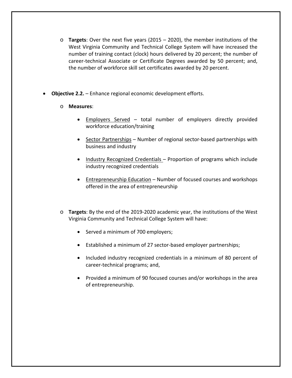- o **Targets**: Over the next five years (2015 2020), the member institutions of the West Virginia Community and Technical College System will have increased the number of training contact (clock) hours delivered by 20 percent; the number of career-technical Associate or Certificate Degrees awarded by 50 percent; and, the number of workforce skill set certificates awarded by 20 percent.
- **Objective 2.2.** Enhance regional economic development efforts.
	- o **Measures**:
		- Employers Served total number of employers directly provided workforce education/training
		- Sector Partnerships Number of regional sector-based partnerships with business and industry
		- Industry Recognized Credentials Proportion of programs which include industry recognized credentials
		- Entrepreneurship Education Number of focused courses and workshops offered in the area of entrepreneurship
	- o **Targets**: By the end of the 2019‐2020 academic year, the institutions of the West Virginia Community and Technical College System will have:
		- Served a minimum of 700 employers;
		- Established a minimum of 27 sector‐based employer partnerships;
		- Included industry recognized credentials in a minimum of 80 percent of career‐technical programs; and,
		- Provided a minimum of 90 focused courses and/or workshops in the area of entrepreneurship.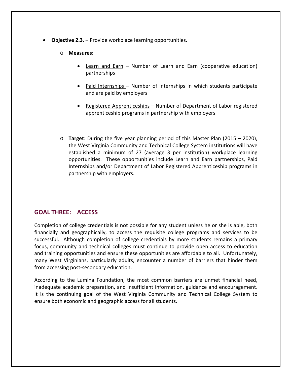- **Objective 2.3.** Provide workplace learning opportunities.
	- o **Measures**:
		- Learn and Earn Number of Learn and Earn (cooperative education) partnerships
		- Paid Internships Number of internships in which students participate and are paid by employers
		- Registered Apprenticeships Number of Department of Labor registered apprenticeship programs in partnership with employers
	- o **Target**: During the five year planning period of this Master Plan (2015 2020), the West Virginia Community and Technical College System institutions will have established a minimum of 27 (average 3 per institution) workplace learning opportunities. These opportunities include Learn and Earn partnerships, Paid Internships and/or Department of Labor Registered Apprenticeship programs in partnership with employers.

#### **GOAL THREE: ACCESS**

Completion of college credentials is not possible for any student unless he or she is able, both financially and geographically, to access the requisite college programs and services to be successful. Although completion of college credentials by more students remains a primary focus, community and technical colleges must continue to provide open access to education and training opportunities and ensure these opportunities are affordable to all. Unfortunately, many West Virginians, particularly adults, encounter a number of barriers that hinder them from accessing post‐secondary education.

According to the Lumina Foundation, the most common barriers are unmet financial need, inadequate academic preparation, and insufficient information, guidance and encouragement. It is the continuing goal of the West Virginia Community and Technical College System to ensure both economic and geographic access for all students.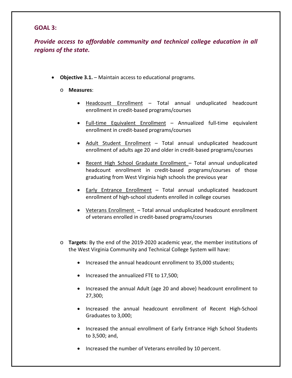#### **GOAL 3:**

*Provide access to affordable community and technical college education in all regions of the state.*

**Objective 3.1.** – Maintain access to educational programs.

#### o **Measures**:

- Headcount Enrollment Total annual unduplicated headcount enrollment in credit‐based programs/courses
- Full-time Equivalent Enrollment Annualized full-time equivalent enrollment in credit‐based programs/courses
- Adult Student Enrollment Total annual unduplicated headcount enrollment of adults age 20 and older in credit‐based programs/courses
- Recent High School Graduate Enrollment Total annual unduplicated headcount enrollment in credit-based programs/courses of those graduating from West Virginia high schools the previous year
- Early Entrance Enrollment Total annual unduplicated headcount enrollment of high‐school students enrolled in college courses
- Veterans Enrollment Total annual unduplicated headcount enrollment of veterans enrolled in credit‐based programs/courses
- o **Targets**: By the end of the 2019‐2020 academic year, the member institutions of the West Virginia Community and Technical College System will have:
	- Increased the annual headcount enrollment to 35,000 students;
	- Increased the annualized FTE to 17,500;
	- Increased the annual Adult (age 20 and above) headcount enrollment to 27,300;
	- Increased the annual headcount enrollment of Recent High-School Graduates to 3,000;
	- Increased the annual enrollment of Early Entrance High School Students to 3,500; and,
	- Increased the number of Veterans enrolled by 10 percent.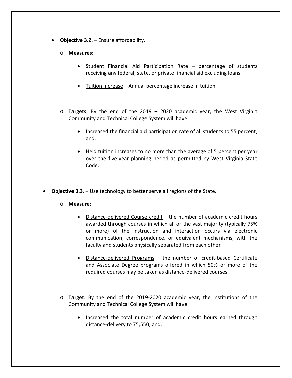- **Objective 3.2.** Ensure affordability.
	- o **Measures**:
		- Student Financial Aid Participation Rate percentage of students receiving any federal, state, or private financial aid excluding loans
		- Tuition Increase Annual percentage increase in tuition
	- o **Targets**: By the end of the 2019 2020 academic year, the West Virginia Community and Technical College System will have:
		- Increased the financial aid participation rate of all students to 55 percent; and,
		- Held tuition increases to no more than the average of 5 percent per year over the five‐year planning period as permitted by West Virginia State Code.
- **Objective 3.3.** Use technology to better serve all regions of the State.
	- o **Measure**:
		- Distance-delivered Course credit the number of academic credit hours awarded through courses in which all or the vast majority (typically 75% or more) of the instruction and interaction occurs via electronic communication, correspondence, or equivalent mechanisms, with the faculty and students physically separated from each other
		- Distance-delivered Programs the number of credit-based Certificate and Associate Degree programs offered in which 50% or more of the required courses may be taken as distance‐delivered courses
	- o **Target**: By the end of the 2019‐2020 academic year, the institutions of the Community and Technical College System will have:
		- Increased the total number of academic credit hours earned through distance‐delivery to 75,550; and,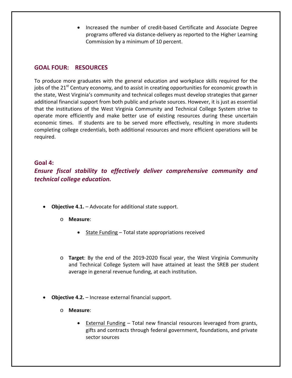● Increased the number of credit-based Certificate and Associate Degree programs offered via distance‐delivery as reported to the Higher Learning Commission by a minimum of 10 percent.

#### **GOAL FOUR: RESOURCES**

To produce more graduates with the general education and workplace skills required for the jobs of the  $21^{st}$  Century economy, and to assist in creating opportunities for economic growth in the state, West Virginia's community and technical colleges must develop strategies that garner additional financial support from both public and private sources. However, it is just as essential that the institutions of the West Virginia Community and Technical College System strive to operate more efficiently and make better use of existing resources during these uncertain economic times. If students are to be served more effectively, resulting in more students completing college credentials, both additional resources and more efficient operations will be required.

#### **Goal 4:**

*Ensure fiscal stability to effectively deliver comprehensive community and technical college education.*

- **Objective 4.1.** Advocate for additional state support.
	- o **Measure**:
		- State Funding Total state appropriations received
	- o **Target**: By the end of the 2019‐2020 fiscal year, the West Virginia Community and Technical College System will have attained at least the SREB per student average in general revenue funding, at each institution.
- **Objective 4.2.** Increase external financial support.
	- o **Measure**:
		- External Funding Total new financial resources leveraged from grants, gifts and contracts through federal government, foundations, and private sector sources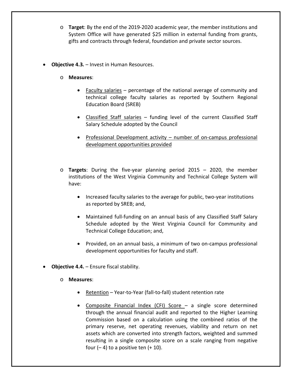- o **Target**: By the end of the 2019‐2020 academic year, the member institutions and System Office will have generated \$25 million in external funding from grants, gifts and contracts through federal, foundation and private sector sources.
- **Objective 4.3***.* Invest in Human Resources.
	- o **Measures**:
		- Faculty salaries percentage of the national average of community and technical college faculty salaries as reported by Southern Regional Education Board (SREB)
		- Classified Staff salaries funding level of the current Classified Staff Salary Schedule adopted by the Council
		- Professional Development activity number of on-campus professional development opportunities provided
	- o **Targets**: During the five‐year planning period 2015 2020, the member institutions of the West Virginia Community and Technical College System will have:
		- Increased faculty salaries to the average for public, two-year institutions as reported by SREB; and,
		- Maintained full-funding on an annual basis of any Classified Staff Salary Schedule adopted by the West Virginia Council for Community and Technical College Education; and,
		- Provided, on an annual basis, a minimum of two on-campus professional development opportunities for faculty and staff.
- **Objective 4.4.** Ensure fiscal stability.
	- o **Measures**:
		- Retention Year-to-Year (fall-to-fall) student retention rate
		- Composite Financial Index (CFI) Score a single score determined through the annual financial audit and reported to the Higher Learning Commission based on a calculation using the combined ratios of the primary reserve, net operating revenues, viability and return on net assets which are converted into strength factors, weighted and summed resulting in a single composite score on a scale ranging from negative four  $(-4)$  to a positive ten  $(+10)$ .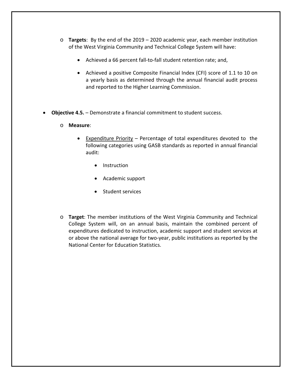- o **Targets**: By the end of the 2019 2020 academic year, each member institution of the West Virginia Community and Technical College System will have:
	- Achieved a 66 percent fall-to-fall student retention rate; and,
	- Achieved a positive Composite Financial Index (CFI) score of 1.1 to 10 on a yearly basis as determined through the annual financial audit process and reported to the Higher Learning Commission.
- **Objective 4.5.** Demonstrate a financial commitment to student success.
	- o **Measure**:
		- Expenditure Priority Percentage of total expenditures devoted to the following categories using GASB standards as reported in annual financial audit:
			- Instruction
			- Academic support
			- Student services
	- o **Target**: The member institutions of the West Virginia Community and Technical College System will, on an annual basis, maintain the combined percent of expenditures dedicated to instruction, academic support and student services at or above the national average for two‐year, public institutions as reported by the National Center for Education Statistics.